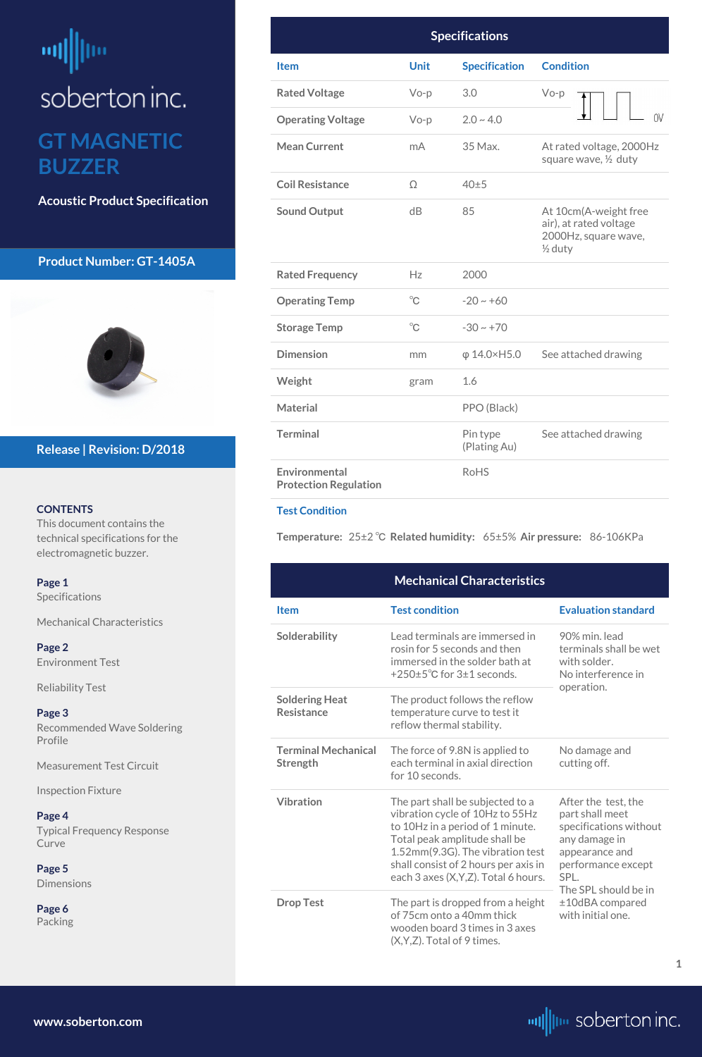## <span id="page-0-0"></span>빼빠 soberton inc. **GT MAGNETIC BUZZER**

**Acoustic Product Specification**

#### **Product Number: GT-1405A**



#### **CONTENTS**

This document contains the technical specifications for the electromagnetic buzzer.

### **Release | Revision: D/2018**

#### **[www.soberton.com](http://www.soberton.com)**



**1**

| <b>Specifications</b>                         |                     |                          |                                                                                               |  |
|-----------------------------------------------|---------------------|--------------------------|-----------------------------------------------------------------------------------------------|--|
| <b>Item</b>                                   | <b>Unit</b>         | <b>Specification</b>     | <b>Condition</b>                                                                              |  |
| <b>Rated Voltage</b>                          | $Vo-p$              | 3.0                      | $Vo-p$                                                                                        |  |
| <b>Operating Voltage</b>                      | $Vo-p$              | $2.0 - 4.0$              | 0V                                                                                            |  |
| <b>Mean Current</b>                           | mA                  | 35 Max.                  | At rated voltage, 2000Hz<br>square wave, 1/2 duty                                             |  |
| <b>Coil Resistance</b>                        | Ω                   | 40±5                     |                                                                                               |  |
| <b>Sound Output</b>                           | dB                  | 85                       | At 10cm(A-weight free<br>air), at rated voltage<br>2000Hz, square wave,<br>$\frac{1}{2}$ duty |  |
| <b>Rated Frequency</b>                        | Hz                  | 2000                     |                                                                                               |  |
| <b>Operating Temp</b>                         | $^{\circ}\!{\rm C}$ | $-20 \sim +60$           |                                                                                               |  |
| <b>Storage Temp</b>                           | $^{\circ}$ C        | $-30 \sim +70$           |                                                                                               |  |
| <b>Dimension</b>                              | mm                  | $φ$ 14.0×H5.0            | See attached drawing                                                                          |  |
| Weight                                        | gram                | 1.6                      |                                                                                               |  |
| <b>Material</b>                               |                     | PPO (Black)              |                                                                                               |  |
| <b>Terminal</b>                               |                     | Pin type<br>(Plating Au) | See attached drawing                                                                          |  |
| Environmental<br><b>Protection Regulation</b> |                     | <b>RoHS</b>              |                                                                                               |  |

#### **Test Condition**

**Temperature:** 25±2 ℃ **Related humidity:** 65±5% **Air pressure:** 86-106KPa

| Page 1                            |                                            | <b>Mechanical Characteristics</b>                                                                |                                         |
|-----------------------------------|--------------------------------------------|--------------------------------------------------------------------------------------------------|-----------------------------------------|
| <b>Specifications</b>             | <b>Item</b>                                | <b>Test condition</b>                                                                            | <b>Evaluation standard</b>              |
| <b>Mechanical Characteristics</b> |                                            |                                                                                                  |                                         |
| Page 2                            | Solderability                              | Lead terminals are immersed in<br>rosin for 5 seconds and then                                   | 90% min. lead<br>terminals shall be wet |
| <b>Environment Test</b>           |                                            | immersed in the solder bath at<br>+250±5°C for 3±1 seconds.                                      | with solder.<br>No interference in      |
| <b>Reliability Test</b>           |                                            |                                                                                                  | operation.                              |
| Page 3                            | <b>Soldering Heat</b><br><b>Resistance</b> | The product follows the reflow<br>temperature curve to test it                                   |                                         |
| <b>Recommended Wave Soldering</b> |                                            | reflow thermal stability.                                                                        |                                         |
| Profile                           | <b>Terminal Mechanical</b>                 | The force of 9.8N is applied to                                                                  | No damage and                           |
| <b>Measurement Test Circuit</b>   | Strength                                   | each terminal in axial direction<br>for 10 seconds.                                              | cutting off.                            |
| <b>Inspection Fixture</b>         |                                            |                                                                                                  |                                         |
| Page 4                            | <b>Vibration</b>                           | The part shall be subjected to a<br>vibration cycle of 10Hz to 55Hz                              | After the test, the<br>part shall meet  |
| <b>Typical Frequency Response</b> |                                            | to 10Hz in a period of 1 minute.                                                                 | specifications without                  |
| Curve                             |                                            | Total peak amplitude shall be<br>1.52mm(9.3G). The vibration test                                | any damage in<br>appearance and         |
| Page 5                            |                                            | shall consist of 2 hours per axis in                                                             | performance except                      |
| <b>Dimensions</b>                 |                                            | each 3 axes (X, Y, Z). Total 6 hours.                                                            | SPL.<br>The SPL should be in            |
| Page 6<br>Packing                 | <b>Drop Test</b>                           | The part is dropped from a height<br>of 75cm onto a 40mm thick<br>wooden board 3 times in 3 axes | ±10dBA compared<br>with initial one.    |
|                                   |                                            | $(X, Y, Z)$ . Total of 9 times.                                                                  |                                         |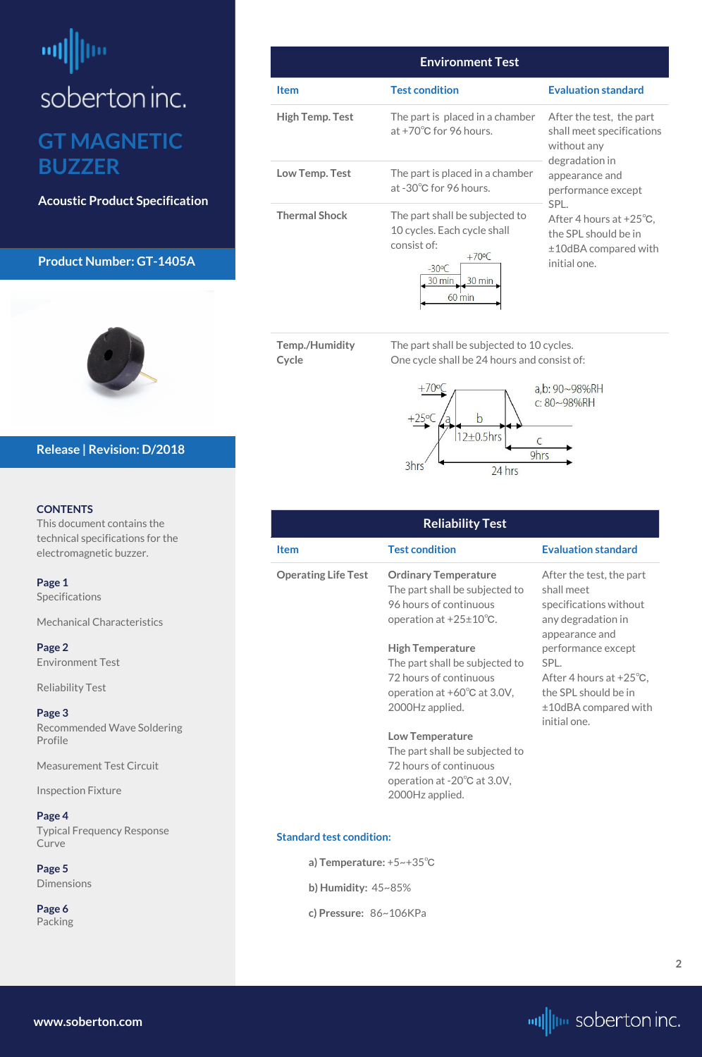## <span id="page-1-0"></span>шļ soberton inc. **GT MAGNETIC BUZZER**

**Acoustic Product Specification**

#### **Product Number: GT-1405A**



#### **CONTENTS**

This document contains the technical specifications for the electromagnetic buzzer.

**[Page 1](#page-0-0)** [Specifications](#page-0-0) 

[Mechanical Characteristics](#page-0-0)

**Page 2** Environment Test

Reliability Test

**[Page 3](#page-2-0)** [Recommended Wave Soldering](#page-2-0)  [Profile](#page-2-0)

[Measurement Test Circuit](#page-2-0)

[Inspection Fixture](#page-2-0)

#### **[Page](#page-3-0) 4**

[Typical Frequency Response](#page-3-0)  [Curve](#page-3-0)

**[Page](#page-4-0) 5** [Dimensions](#page-4-0)

**[Page](#page-5-0) 6** [Packing](#page-5-0)

#### **Release | Revision: D/2018**

**[www.soberton.com](http://www.soberton.com)**



| <b>Environment Test</b> |                                                                                                                                                                      |                                                                                                              |  |  |
|-------------------------|----------------------------------------------------------------------------------------------------------------------------------------------------------------------|--------------------------------------------------------------------------------------------------------------|--|--|
| <b>Item</b>             | <b>Test condition</b>                                                                                                                                                | <b>Evaluation standard</b>                                                                                   |  |  |
| <b>High Temp. Test</b>  | The part is placed in a chamber<br>at $+70^{\circ}$ C for 96 hours.                                                                                                  | After the test, the part<br>shall meet specifications<br>without any<br>degradation in                       |  |  |
| Low Temp. Test          | The part is placed in a chamber<br>at -30°C for 96 hours.                                                                                                            | appearance and<br>performance except                                                                         |  |  |
| <b>Thermal Shock</b>    | The part shall be subjected to<br>10 cycles. Each cycle shall<br>consist of:<br>$+70^{\circ}$ C<br>$-30^{\circ}$ C<br>30 min<br>$30 \text{ min}$<br>$60 \text{ min}$ | SPL.<br>After 4 hours at $+25^{\circ}$ C.<br>the SPL should be in<br>$±10$ dBA compared with<br>initial one. |  |  |

**Temp./Humidity Cycle**

The part shall be subjected to 10 cycles. One cycle shall be 24 hours and consist of:



| <b>Reliability Test</b>    |                                                                                                                                                          |                                                                                                                                |  |  |
|----------------------------|----------------------------------------------------------------------------------------------------------------------------------------------------------|--------------------------------------------------------------------------------------------------------------------------------|--|--|
| <b>Item</b>                | <b>Test condition</b>                                                                                                                                    | <b>Evaluation standard</b>                                                                                                     |  |  |
| <b>Operating Life Test</b> | <b>Ordinary Temperature</b><br>The part shall be subjected to<br>96 hours of continuous<br>operation at $+25\pm10^{\circ}$ C.<br><b>High Temperature</b> | After the test, the part<br>shall meet<br>specifications without<br>any degradation in<br>appearance and<br>performance except |  |  |
|                            | The part shall be subjected to<br>72 hours of continuous<br>operation at $+60^{\circ}$ C at 3.0V,<br>2000Hz applied.                                     | SPL.<br>After 4 hours at $+25^{\circ}$ C,<br>the SPL should be in<br>$±10$ dBA compared with<br>initial one.                   |  |  |
|                            | <b>Low Temperature</b><br>The part shall be subjected to<br>72 hours of continuous<br>operation at $-20^{\circ}$ C at 3.0V,                              |                                                                                                                                |  |  |

2000Hz applied.

#### **Standard test condition:**

**a) Temperature:** +5~+35℃

**b) Humidity:** 45~85%

**c) Pressure:** 86~106KPa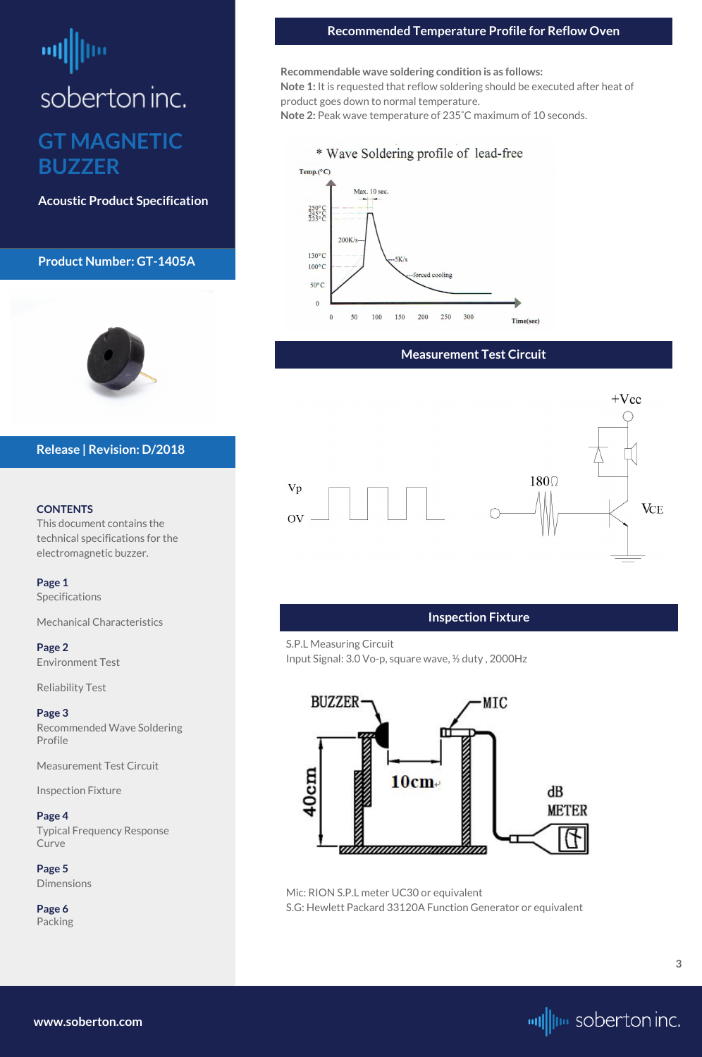## <span id="page-2-0"></span>soberton inc.

## **GT MAGNETIC BUZZER**

**Acoustic Product Specification**

#### **Product Number: GT-1405A**



#### **CONTENTS**

This document contains the technical specifications for the electromagnetic buzzer.

**[Page 1](#page-0-0)** [Specifications](#page-0-0) 

[Mechanical Characteristics](#page-0-0)

**[Page 2](#page-1-0)** [Environment Test](#page-1-0)

[Reliability Test](#page-1-0)

**Page 3** Recommended Wave Soldering Profile

Measurement Test Circuit

Inspection Fixture

#### **[Page](#page-3-0) 4**

[Typical Frequency Response](#page-3-0)  [Curve](#page-3-0)

**[Page](#page-4-0) 5** [Dimensions](#page-4-0)

**[Page](#page-5-0) 6** [Packing](#page-5-0)

#### **Release | Revision: D/2018**

**[www.soberton.com](http://www.soberton.com)**



### **Measurement Test Circuit**



#### **Recommended Temperature Profile for Reflow Oven**

**Recommendable wave soldering condition is as follows:**

**Note 1:** It is requested that reflow soldering should be executed after heat of product goes down to normal temperature.

**Note 2:** Peak wave temperature of 235˚C maximum of 10 seconds.

#### \* Wave Soldering profile of lead-free



#### **Inspection Fixture**

S.P.L Measuring Circuit Input Signal: 3.0 Vo-p, square wave, ½ duty , 2000Hz



Mic: RION S.P.L meter UC30 or equivalent S.G: Hewlett Packard 33120A Function Generator or equivalent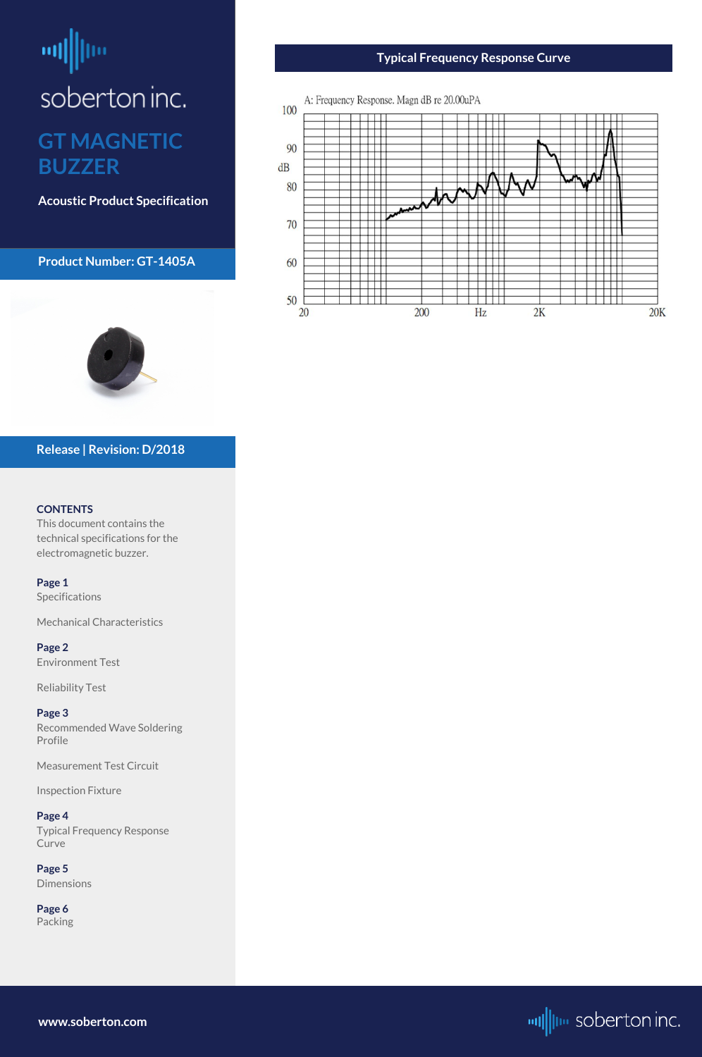## <span id="page-3-0"></span>咖 soberton inc. **GT MAGNETIC BUZZER**

**Acoustic Product Specification**

**Product Number: GT-1405A**

#### **CONTENTS**

This document contains the technical specifications for the electromagnetic buzzer.

Typical Frequency Response **Curve** 

**[Page 1](#page-0-0)** [Specifications](#page-0-0) 

[Mechanical Characteristics](#page-0-0)

**[Page 2](#page-1-0)** [Environment Test](#page-1-0)

[Reliability Test](#page-1-0)

**[Page 3](#page-2-0)** [Recommended Wave Soldering](#page-2-0)  [Profile](#page-2-0)

[Measurement Test Circuit](#page-2-0)

[Inspection Fixture](#page-2-0)

#### **Page 4**

**[Page](#page-4-0) 5** [Dimensions](#page-4-0)

**[Page](#page-5-0) 6** [Packing](#page-5-0)

#### **Release | Revision: D/2018**

**www.soberton.com**







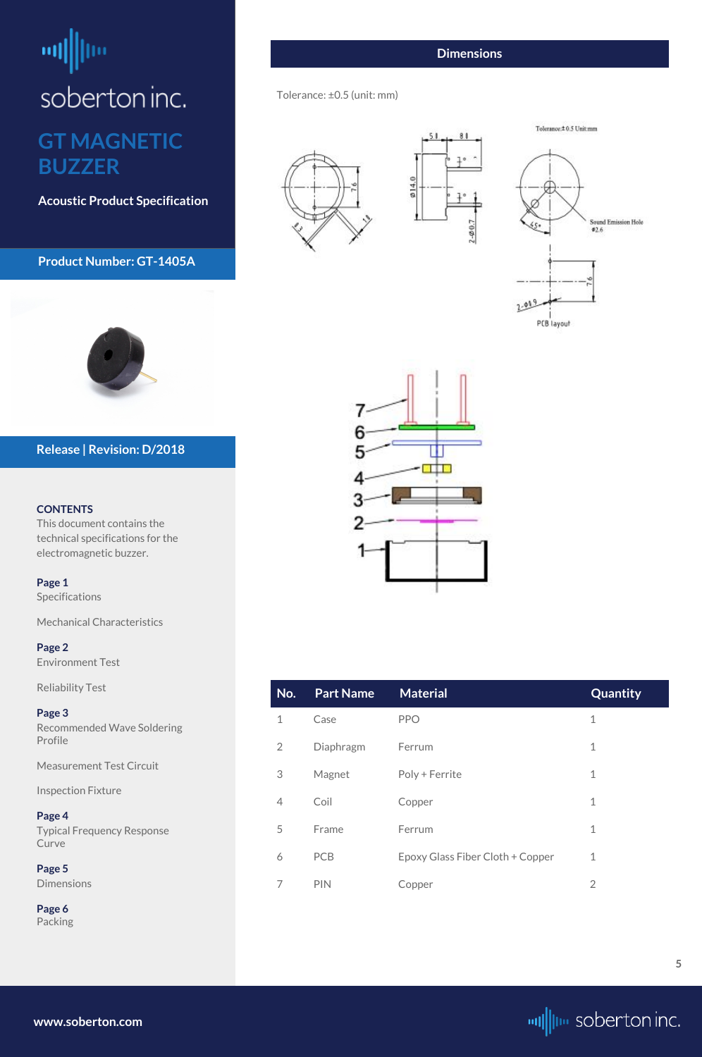## <span id="page-4-0"></span> $\left| \mathbf{u} \right|$ soberton inc. **GT MAGNETIC BUZZER**

**Acoustic Product Specification**

#### **Product Number: GT-1405A**



#### **CONTENTS**

This document contains the technical specifications for the electromagnetic buzzer.

**[Page 1](#page-0-0)** [Specifications](#page-0-0) 

[Mechanical Characteristics](#page-0-0)

**[Page 2](#page-1-0)** [Environment Test](#page-1-0)

# $0.140$





### **Release | Revision: D/2018**

| <b>Reliability Test</b>                                | No.            | <b>Part Name</b> | <b>Material</b>                  | Quantity       |
|--------------------------------------------------------|----------------|------------------|----------------------------------|----------------|
| Page 3<br><b>Recommended Wave Soldering</b><br>Profile | $\mathbf 1$    | Case             | <b>PPO</b>                       | $\mathbf 1$    |
|                                                        | $\overline{2}$ | Diaphragm        | Ferrum                           | $\mathbf 1$    |
| <b>Measurement Test Circuit</b>                        | 3              | Magnet           | Poly + Ferrite                   | $\mathbf 1$    |
| <b>Inspection Fixture</b>                              | 4              | Coil             | Copper                           | $\mathbf 1$    |
| Page 4<br><b>Typical Frequency Response</b>            | 5              | Frame            | Ferrum                           | $\mathbf 1$    |
| Curve<br>Page 5                                        | 6              | PCB              | Epoxy Glass Fiber Cloth + Copper | $\mathbf 1$    |
| <b>Dimensions</b>                                      | 7              | <b>PIN</b>       | Copper                           | $\overline{2}$ |
| Page 6<br>Packing                                      |                |                  |                                  |                |
|                                                        |                |                  |                                  |                |

**[www.soberton.com](http://www.soberton.com)**



#### **Dimensions**

 $2 - 0.07$ 

Tolerance: ±0.5 (unit: mm)